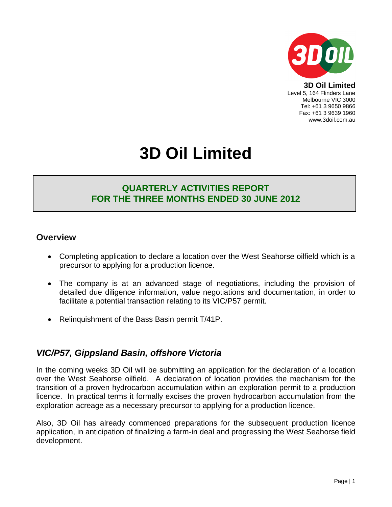

**3D Oil Limited** Level 5, 164 Flinders Lane Melbourne VIC 3000 Tel: +61 3 9650 9866 Fax: +61 3 9639 1960 www.3doil.com.au

# **3D Oil Limited**

## **QUARTERLY ACTIVITIES REPORT FOR THE THREE MONTHS ENDED 30 JUNE 2012**

### **Overview**

- Completing application to declare a location over the West Seahorse oilfield which is a precursor to applying for a production licence.
- The company is at an advanced stage of negotiations, including the provision of detailed due diligence information, value negotiations and documentation, in order to facilitate a potential transaction relating to its VIC/P57 permit.
- Relinguishment of the Bass Basin permit T/41P.

# *VIC/P57, Gippsland Basin, offshore Victoria*

In the coming weeks 3D Oil will be submitting an application for the declaration of a location over the West Seahorse oilfield. A declaration of location provides the mechanism for the transition of a proven hydrocarbon accumulation within an exploration permit to a production licence. In practical terms it formally excises the proven hydrocarbon accumulation from the exploration acreage as a necessary precursor to applying for a production licence.

Also, 3D Oil has already commenced preparations for the subsequent production licence application, in anticipation of finalizing a farm-in deal and progressing the West Seahorse field development.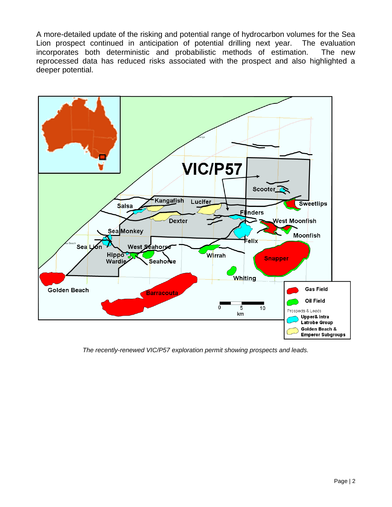A more-detailed update of the risking and potential range of hydrocarbon volumes for the Sea Lion prospect continued in anticipation of potential drilling next year. The evaluation incorporates both deterministic and probabilistic methods of estimation. The new reprocessed data has reduced risks associated with the prospect and also highlighted a deeper potential.



*The recently-renewed VIC/P57 exploration permit showing prospects and leads.*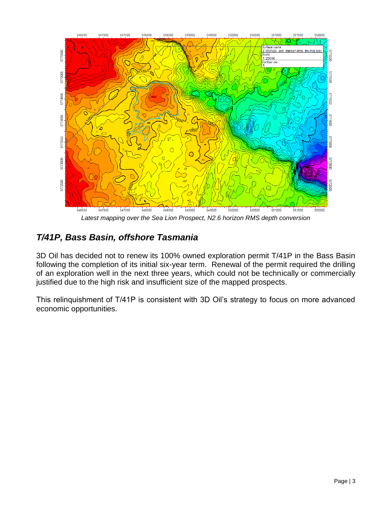

*Latest mapping over the Sea Lion Prospect, N2.6 horizon RMS depth conversion*

# *T/41P, Bass Basin, offshore Tasmania*

3D Oil has decided not to renew its 100% owned exploration permit T/41P in the Bass Basin following the completion of its initial six-year term. Renewal of the permit required the drilling of an exploration well in the next three years, which could not be technically or commercially justified due to the high risk and insufficient size of the mapped prospects.

This relinquishment of T/41P is consistent with 3D Oil's strategy to focus on more advanced economic opportunities.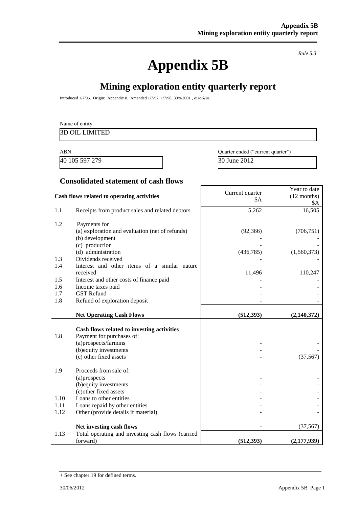# **Appendix 5B**

*Rule 5.3* 

# **Mining exploration entity quarterly report**

Introduced 1/7/96. Origin: Appendix 8. Amended 1/7/97, 1/7/98, 30/9/2001 , 01/06/10.

|                | Name of entity                                  |                                   |                                      |
|----------------|-------------------------------------------------|-----------------------------------|--------------------------------------|
|                | <b>3D OIL LIMITED</b>                           |                                   |                                      |
| <b>ABN</b>     |                                                 | Quarter ended ("current quarter") |                                      |
| 40 105 597 279 |                                                 | 30 June 2012                      |                                      |
|                | <b>Consolidated statement of cash flows</b>     |                                   |                                      |
|                | Cash flows related to operating activities      | Current quarter<br>\$A            | Year to date<br>$(12$ months)<br>\$A |
| 1.1            | Receipts from product sales and related debtors | 5,262                             | 16,505                               |

| 1.1  | Receipts from product sales and related debtors   | 5,262      | 16,505        |
|------|---------------------------------------------------|------------|---------------|
| 1.2  | Payments for                                      |            |               |
|      | (a) exploration and evaluation (net of refunds)   | (92, 366)  | (706, 751)    |
|      | (b) development                                   |            |               |
|      | (c) production                                    |            |               |
|      | (d) administration                                | (436, 785) | (1,560,373)   |
| 1.3  | Dividends received                                |            |               |
| 1.4  | Interest and other items of a similar nature      |            |               |
|      | received                                          | 11,496     | 110,247       |
| 1.5  | Interest and other costs of finance paid          |            |               |
| 1.6  | Income taxes paid                                 |            |               |
| 1.7  | <b>GST Refund</b>                                 |            |               |
| 1.8  | Refund of exploration deposit                     |            |               |
|      |                                                   |            |               |
|      | <b>Net Operating Cash Flows</b>                   | (512, 393) | (2, 140, 372) |
|      | Cash flows related to investing activities        |            |               |
| 1.8  | Payment for purchases of:                         |            |               |
|      | (a)prospects/farmins                              |            |               |
|      | (b) equity investments                            |            |               |
|      | (c) other fixed assets                            |            | (37, 567)     |
|      |                                                   |            |               |
| 1.9  | Proceeds from sale of:                            |            |               |
|      | (a)prospects                                      |            |               |
|      | (b) equity investments                            |            |               |
|      | (c) other fixed assets                            |            |               |
| 1.10 | Loans to other entities                           |            |               |
| 1.11 | Loans repaid by other entities                    |            |               |
| 1.12 | Other (provide details if material)               |            |               |
|      | Net investing cash flows                          |            | (37, 567)     |
| 1.13 | Total operating and investing cash flows (carried |            |               |
|      | forward)                                          | (512, 393) | (2, 177, 939) |

<sup>+</sup> See chapter 19 for defined terms.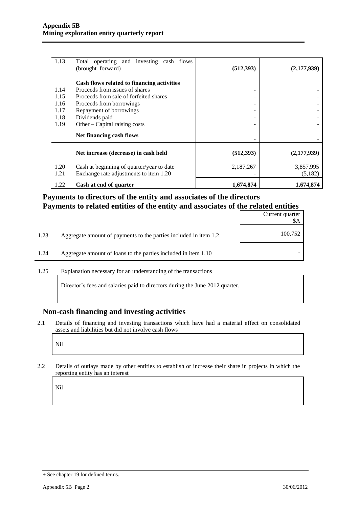| 1.13         | Total operating and investing cash flows<br>(brought forward)                       | (512, 393) | (2,177,939)          |
|--------------|-------------------------------------------------------------------------------------|------------|----------------------|
|              | Cash flows related to financing activities                                          |            |                      |
| 1.14         | Proceeds from issues of shares                                                      |            |                      |
| 1.15         | Proceeds from sale of forfeited shares                                              |            |                      |
| 1.16         | Proceeds from borrowings                                                            |            |                      |
| 1.17         | Repayment of borrowings                                                             |            |                      |
| 1.18         | Dividends paid                                                                      |            |                      |
| 1.19         | Other – Capital raising costs                                                       |            |                      |
|              | Net financing cash flows                                                            |            |                      |
|              | Net increase (decrease) in cash held                                                | (512, 393) | (2,177,939)          |
| 1.20<br>1.21 | Cash at beginning of quarter/year to date<br>Exchange rate adjustments to item 1.20 | 2,187,267  | 3,857,995<br>(5,182) |
| 1.22         | Cash at end of quarter                                                              | 1,674,874  | 1,674,874            |

#### **Payments to directors of the entity and associates of the directors Payments to related entities of the entity and associates of the related entities**

|      |                                                                  | Current quarter<br>\$A |
|------|------------------------------------------------------------------|------------------------|
| 1.23 | Aggregate amount of payments to the parties included in item 1.2 | 100,752                |
| 1.24 | Aggregate amount of loans to the parties included in item 1.10   |                        |

1.25 Explanation necessary for an understanding of the transactions

Director's fees and salaries paid to directors during the June 2012 quarter.

#### **Non-cash financing and investing activities**

2.1 Details of financing and investing transactions which have had a material effect on consolidated assets and liabilities but did not involve cash flows

Nil

2.2 Details of outlays made by other entities to establish or increase their share in projects in which the reporting entity has an interest

Nil

<sup>+</sup> See chapter 19 for defined terms.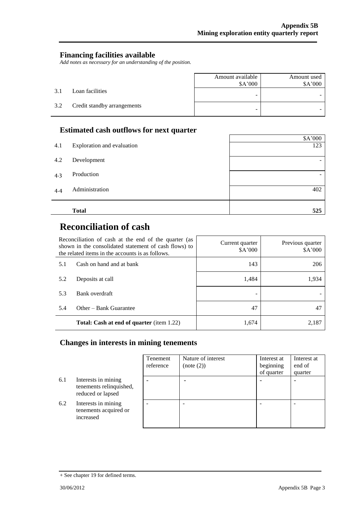#### **Financing facilities available**

*Add notes as necessary for an understanding of the position.* 

|     |                             | Amount available<br>\$A'000 | Amount used<br>\$A'000 |
|-----|-----------------------------|-----------------------------|------------------------|
| 3.1 | Loan facilities             | -                           |                        |
| 3.2 | Credit standby arrangements | -                           |                        |

#### **Estimated cash outflows for next quarter**

|     | д.                         | \$A'000 |
|-----|----------------------------|---------|
| 4.1 | Exploration and evaluation | 123     |
| 4.2 | Development                |         |
| 4.3 | Production                 | -       |
| 4.4 | Administration             | 402     |
|     | <b>Total</b>               | 525     |

 $\mathsf{r}$ 

# **Reconciliation of cash**

| Reconciliation of cash at the end of the quarter (as<br>shown in the consolidated statement of cash flows) to<br>the related items in the accounts is as follows. |                                                  | Current quarter<br>\$A'000 | Previous quarter<br>\$A'000 |
|-------------------------------------------------------------------------------------------------------------------------------------------------------------------|--------------------------------------------------|----------------------------|-----------------------------|
| 5.1                                                                                                                                                               | Cash on hand and at bank                         | 143                        | 206                         |
| 5.2                                                                                                                                                               | Deposits at call                                 | 1,484                      | 1,934                       |
| 5.3                                                                                                                                                               | Bank overdraft                                   |                            |                             |
| 5.4                                                                                                                                                               | Other – Bank Guarantee                           | 47                         | 47                          |
|                                                                                                                                                                   | <b>Total: Cash at end of quarter</b> (item 1.22) | 1,674                      | 2.187                       |

## **Changes in interests in mining tenements**

|     |                                                                     | Tenement<br>reference | Nature of interest<br>(note (2)) | Interest at<br>beginning<br>of quarter | Interest at<br>end of<br>quarter |
|-----|---------------------------------------------------------------------|-----------------------|----------------------------------|----------------------------------------|----------------------------------|
| 6.1 | Interests in mining<br>tenements relinquished,<br>reduced or lapsed |                       |                                  |                                        |                                  |
| 6.2 | Interests in mining<br>tenements acquired or<br>increased           |                       |                                  |                                        |                                  |

<sup>+</sup> See chapter 19 for defined terms.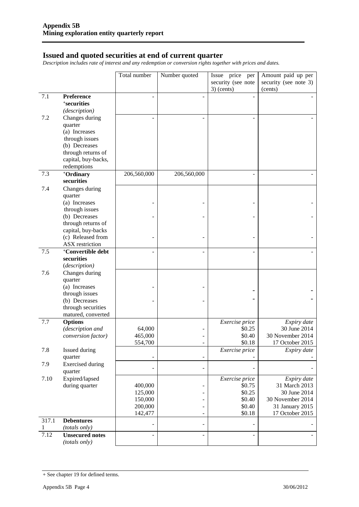#### **Issued and quoted securities at end of current quarter**

*Description includes rate of interest and any redemption or conversion rights together with prices and dates.* 

|       |                               | Total number       | Number quoted                | Issue price per    | Amount paid up per                  |
|-------|-------------------------------|--------------------|------------------------------|--------------------|-------------------------------------|
|       |                               |                    |                              | security (see note | security (see note 3)               |
|       |                               |                    |                              | $3)$ (cents)       | (cents)                             |
| 7.1   | Preference                    |                    |                              |                    |                                     |
|       | <sup>+</sup> securities       |                    |                              |                    |                                     |
|       | (description)                 |                    |                              |                    |                                     |
| 7.2   | Changes during                |                    |                              |                    |                                     |
|       | quarter                       |                    |                              |                    |                                     |
|       | (a) Increases                 |                    |                              |                    |                                     |
|       | through issues                |                    |                              |                    |                                     |
|       | (b) Decreases                 |                    |                              |                    |                                     |
|       | through returns of            |                    |                              |                    |                                     |
|       | capital, buy-backs,           |                    |                              |                    |                                     |
|       | redemptions                   |                    |                              |                    |                                     |
| 7.3   | +Ordinary                     | 206,560,000        | 206,560,000                  |                    |                                     |
|       | securities                    |                    |                              |                    |                                     |
| 7.4   | Changes during                |                    |                              |                    |                                     |
|       | quarter                       |                    |                              |                    |                                     |
|       | (a) Increases                 |                    |                              |                    |                                     |
|       | through issues                |                    |                              |                    |                                     |
|       | (b) Decreases                 |                    |                              |                    |                                     |
|       | through returns of            |                    |                              |                    |                                     |
|       | capital, buy-backs            |                    |                              |                    |                                     |
|       | (c) Released from             |                    |                              |                    |                                     |
|       | <b>ASX</b> restriction        |                    |                              |                    |                                     |
| 7.5   | <sup>+</sup> Convertible debt |                    | ä,                           |                    |                                     |
|       | securities                    |                    |                              |                    |                                     |
|       | (description)                 |                    |                              |                    |                                     |
| 7.6   | Changes during                |                    |                              |                    |                                     |
|       | quarter                       |                    |                              |                    |                                     |
|       | (a) Increases                 |                    |                              |                    |                                     |
|       | through issues                |                    |                              |                    |                                     |
|       | (b) Decreases                 |                    |                              |                    |                                     |
|       | through securities            |                    |                              |                    |                                     |
|       | matured, converted            |                    |                              |                    |                                     |
| 7.7   | <b>Options</b>                |                    |                              | Exercise price     | Expiry date                         |
|       | (description and              | 64,000             |                              | \$0.25             | 30 June 2014                        |
|       | conversion factor)            | 465,000<br>554,700 |                              | \$0.40<br>\$0.18   | 30 November 2014<br>17 October 2015 |
| 7.8   | Issued during                 |                    | $\qquad \qquad \blacksquare$ | Exercise price     | Expiry date                         |
|       | quarter                       |                    | -                            |                    |                                     |
| 7.9   | <b>Exercised</b> during       |                    |                              |                    |                                     |
|       | quarter                       |                    | $\overline{\phantom{0}}$     |                    |                                     |
| 7.10  | Expired/lapsed                |                    |                              | Exercise price     | Expiry date                         |
|       | during quarter                | 400,000            | -                            | \$0.75             | 31 March 2013                       |
|       |                               | 125,000            | -                            | \$0.25             | 30 June 2014                        |
|       |                               | 150,000            | -                            | \$0.40             | 30 November 2014                    |
|       |                               | 200,000            |                              | \$0.40             | 31 January 2015                     |
|       |                               | 142,477            | $\overline{\phantom{m}}$     | \$0.18             | 17 October 2015                     |
| 317.1 | <b>Debentures</b>             |                    | -                            |                    |                                     |
| 1     | (totals only)                 |                    |                              |                    |                                     |
| 7.12  | <b>Unsecured notes</b>        |                    | $\overline{a}$               |                    |                                     |
|       | (totals only)                 |                    |                              |                    |                                     |

<sup>+</sup> See chapter 19 for defined terms.